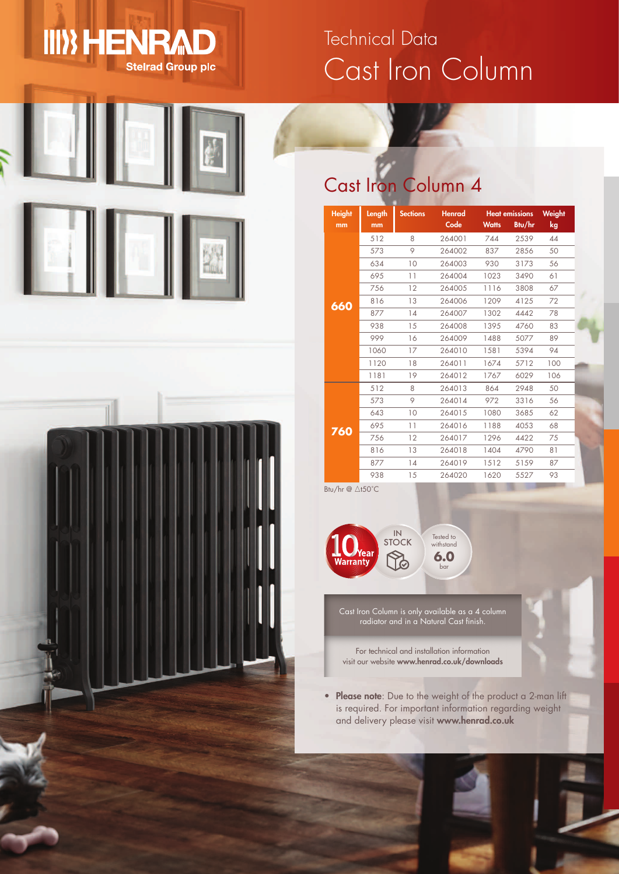# Cast Iron Column Technical Data



 $\textcolor{blue}{\textbf{III}}$  HENRAD





## Cast Iron Column 4

| <b>Height</b><br>mm | Length<br>mm | <b>Sections</b> | <b>Henrad</b><br>Code | <b>Watts</b> | <b>Heat emissions</b><br>Btu/hr | Weight<br>kg |
|---------------------|--------------|-----------------|-----------------------|--------------|---------------------------------|--------------|
|                     | 512          | 8               | 264001                | 744          | 2539                            | 44           |
|                     | 573          | 9               | 264002                | 837          | 2856                            | 50           |
|                     | 634          | 10              | 264003                | 930          | 3173                            | 56           |
|                     | 695          | 11              | 264004                | 1023         | 3490                            | 61           |
|                     | 756          | 12              | 264005                | 1116         | 3808                            | 67           |
| 660                 | 816          | 13              | 264006                | 1209         | 4125                            | 72           |
|                     | 877          | 14              | 264007                | 1302         | 4442                            | 78           |
|                     | 938          | 15              | 264008                | 1395         | 4760                            | 83           |
|                     | 999          | 16              | 264009                | 1488         | 5077                            | 89           |
|                     | 1060         | 17              | 264010                | 1581         | 5394                            | 94           |
|                     | 1120         | 18              | 264011                | 1674         | 5712                            | 100          |
|                     | 1181         | 19              | 264012                | 1767         | 6029                            | 106          |
|                     | 512          | 8               | 264013                | 864          | 2948                            | 50           |
|                     | 573          | 9               | 264014                | 972          | 3316                            | 56           |
|                     | 643          | 10              | 264015                | 1080         | 3685                            | 62           |
| 760                 | 695          | 11              | 264016                | 1188         | 4053                            | 68           |
|                     | 756          | 12              | 264017                | 1296         | 4422                            | 75           |
|                     | 816          | 13              | 264018                | 1404         | 4790                            | 81           |
|                     | 877          | 14              | 264019                | 1512         | 5159                            | 87           |
|                     | 938          | 15              | 264020                | 1620         | 5527                            | 93           |

Btu/hr  $\overline{\omega}$  At50°C



Cast Iron Column is only available as a 4 column radiator and in a Natural Cast finish.

For technical and installation information visit our website **www.henrad.co.uk/downloads**

• **Please note**: Due to the weight of the product a 2-man lift is required. For important information regarding weight and delivery please visit **www.henrad.co.uk**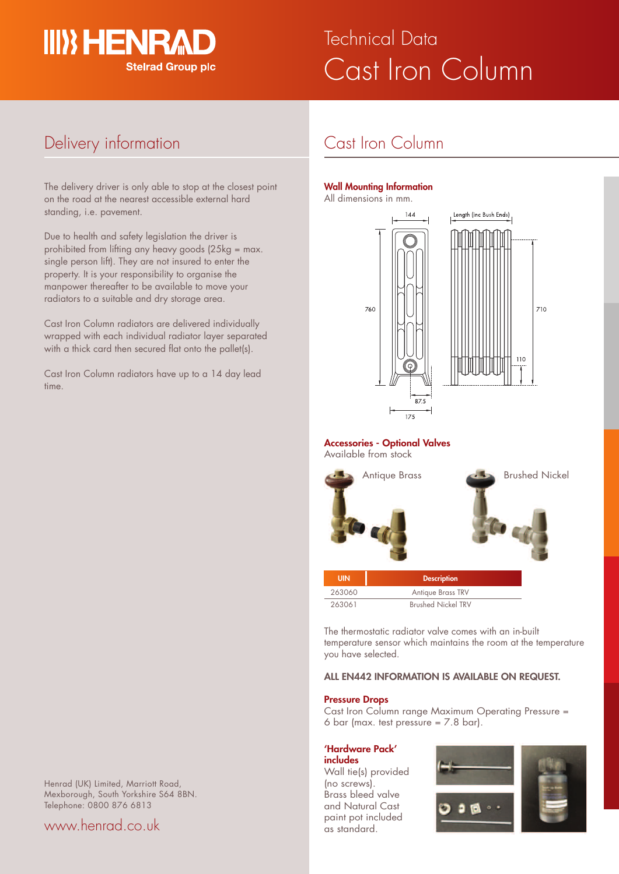

# Cast Iron Column **Technical Data**

## Delivery information

The delivery driver is only able to stop at the closest point on the road at the nearest accessible external hard standing, i.e. pavement.

Due to health and safety legislation the driver is prohibited from lifting any heavy goods (25kg = max. single person lift). They are not insured to enter the property. It is your responsibility to organise the manpower thereafter to be available to move your radiators to a suitable and dry storage area.

Cast Iron Column radiators are delivered individually wrapped with each individual radiator layer separated with a thick card then secured flat onto the pallet(s).

Cast Iron Column radiators have up to a 14 day lead time.

## Cast Iron Column

#### **Wall Mounting Information**

All dimensions in mm.



**Accessories - Optional Valves** Available from stock



| .      | <b>DOSCIPTION</b>         |  |  |  |  |
|--------|---------------------------|--|--|--|--|
| 263060 | <b>Antique Brass TRV</b>  |  |  |  |  |
| 263061 | <b>Brushed Nickel TRV</b> |  |  |  |  |

The thermostatic radiator valve comes with an in-built temperature sensor which maintains the room at the temperature you have selected.

#### **ALL EN442 INFORMATION IS AVAILABLE ON REQUEST.**

#### **Pressure Drops**

Cast Iron Column range Maximum Operating Pressure = 6 bar (max. test pressure  $= 7.8$  bar).

#### **'Hardware Pack'**

**includes** Wall tie(s) provided (no screws). Brass bleed valve and Natural Cast paint pot included as standard.





Henrad (UK) Limited, Marriott Road, Mexborough, South Yorkshire S64 8BN. Telephone: 0800 876 6813

### www.henrad.co.uk